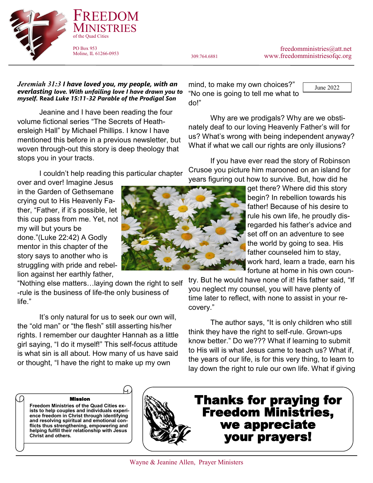freedomministries@att.net 309.764.6881 www.freedomministriesofqc.org

June 2022

### *Jeremiah 31:3 I have loved you, my people, with an everlasting love. With unfailing love I have drawn you to myself.* **Read** *Luke 15:11-32 Parable of the Prodigal Son*

FREEDOM

**INISTRIES** 

PO Box 953 Moline, IL 61266-0953

of the Quad Cities

Jeanine and I have been reading the four volume fictional series "The Secrets of Heathersleigh Hall" by Michael Phillips. I know I have mentioned this before in a previous newsletter, but woven through-out this story is deep theology that stops you in your tracts.

I couldn't help reading this particular chapter

over and over! Imagine Jesus in the Garden of Gethsemane crying out to His Heavenly Father, "Father, if it's possible, let this cup pass from me. Yet, not my will but yours be done."(Luke 22:42) A Godly mentor in this chapter of the story says to another who is struggling with pride and rebellion against her earthly father,

"Nothing else matters…laying down the right to self -rule is the business of life-the only business of life."

It's only natural for us to seek our own will, the "old man" or "the flesh" still asserting his/her rights. I remember our daughter Hannah as a little girl saying, "I do it myself!" This self-focus attitude is what sin is all about. How many of us have said or thought, "I have the right to make up my own

mind, to make my own choices?" "No one is going to tell me what to do!"

Why are we prodigals? Why are we obstinately deaf to our loving Heavenly Father's will for us? What's wrong with being independent anyway? What if what we call our rights are only illusions?

If you have ever read the story of Robinson Crusoe you picture him marooned on an island for years figuring out how to survive. But, how did he

> get there? Where did this story begin? In rebellion towards his father! Because of his desire to rule his own life, he proudly disregarded his father's advice and set off on an adventure to see the world by going to sea. His father counseled him to stay, work hard, learn a trade, earn his fortune at home in his own coun-

try. But he would have none of it! His father said, "If you neglect my counsel, you will have plenty of time later to reflect, with none to assist in your recovery."

The author says, "It is only children who still think they have the right to self-rule. Grown-ups know better." Do we??? What if learning to submit to His will is what Jesus came to teach us? What if, the years of our life, is for this very thing, to learn to lay down the right to rule our own life. What if giving

Mission

**Freedom Ministries of the Quad Cities exists to help couples and individuals experience freedom in Christ through identifying and resolving spiritual and emotional conflicts thus strengthening, empowering and helping fulfill their relationship with Jesus Christ and others.**



Thanks for praying for Freedom Ministries, we appreciate your prayers!